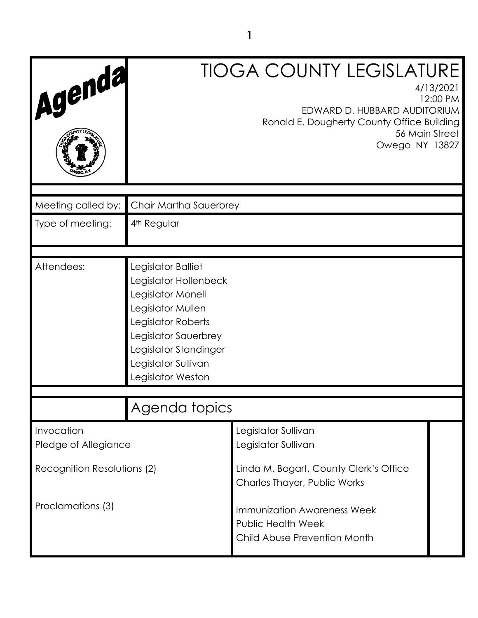| Agenda                             |                                                                                                                                                                                                          | <b>TIOGA COUNTY LEGISLATURE</b><br>EDWARD D. HUBBARD AUDITORIUM<br>Ronald E. Dougherty County Office Building<br>56 Main Street<br>Owego NY 13827 | 4/13/2021<br>12:00 PM |
|------------------------------------|----------------------------------------------------------------------------------------------------------------------------------------------------------------------------------------------------------|---------------------------------------------------------------------------------------------------------------------------------------------------|-----------------------|
| Meeting called by:                 | Chair Martha Sauerbrey                                                                                                                                                                                   |                                                                                                                                                   |                       |
| Type of meeting:                   | 4 <sup>th</sup> Regular                                                                                                                                                                                  |                                                                                                                                                   |                       |
|                                    |                                                                                                                                                                                                          |                                                                                                                                                   |                       |
| Attendees:                         | Legislator Balliet<br>Legislator Hollenbeck<br>Legislator Monell<br>Legislator Mullen<br>Legislator Roberts<br>Legislator Sauerbrey<br>Legislator Standinger<br>Legislator Sullivan<br>Legislator Weston |                                                                                                                                                   |                       |
|                                    |                                                                                                                                                                                                          |                                                                                                                                                   |                       |
|                                    | Agenda topics                                                                                                                                                                                            |                                                                                                                                                   |                       |
| Invocation<br>Pledge of Allegiance |                                                                                                                                                                                                          | Legislator Sullivan<br>Legislator Sullivan                                                                                                        |                       |
| Recognition Resolutions (2)        |                                                                                                                                                                                                          | Linda M. Bogart, County Clerk's Office<br>Charles Thayer, Public Works                                                                            |                       |
| Proclamations (3)                  |                                                                                                                                                                                                          | <b>Immunization Awareness Week</b><br><b>Public Health Week</b><br>Child Abuse Prevention Month                                                   |                       |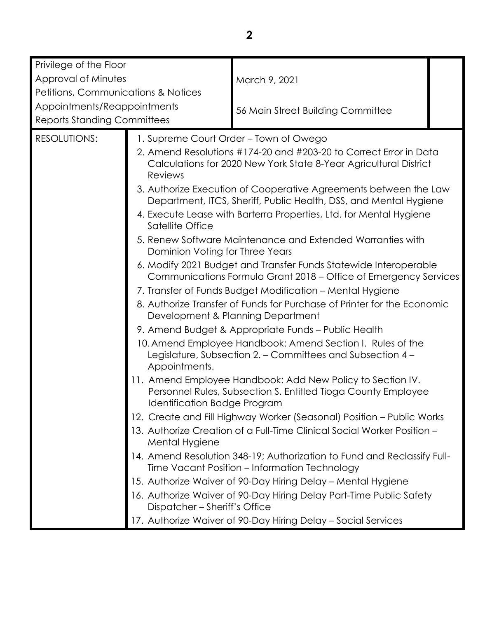| Privilege of the Floor                                    |                                                                                                                                                                                                                                       |                                                                                                                                        |  |
|-----------------------------------------------------------|---------------------------------------------------------------------------------------------------------------------------------------------------------------------------------------------------------------------------------------|----------------------------------------------------------------------------------------------------------------------------------------|--|
| Approval of Minutes                                       |                                                                                                                                                                                                                                       | March 9, 2021                                                                                                                          |  |
| Petitions, Communications & Notices                       |                                                                                                                                                                                                                                       |                                                                                                                                        |  |
| Appointments/Reappointments                               |                                                                                                                                                                                                                                       |                                                                                                                                        |  |
| <b>Reports Standing Committees</b>                        |                                                                                                                                                                                                                                       | 56 Main Street Building Committee                                                                                                      |  |
|                                                           |                                                                                                                                                                                                                                       |                                                                                                                                        |  |
| <b>RESOLUTIONS:</b>                                       |                                                                                                                                                                                                                                       | 1. Supreme Court Order – Town of Owego                                                                                                 |  |
|                                                           | Reviews                                                                                                                                                                                                                               | 2. Amend Resolutions #174-20 and #203-20 to Correct Error in Data<br>Calculations for 2020 New York State 8-Year Agricultural District |  |
|                                                           |                                                                                                                                                                                                                                       | 3. Authorize Execution of Cooperative Agreements between the Law<br>Department, ITCS, Sheriff, Public Health, DSS, and Mental Hygiene  |  |
|                                                           | Satellite Office                                                                                                                                                                                                                      | 4. Execute Lease with Barterra Properties, Ltd. for Mental Hygiene                                                                     |  |
|                                                           | 5. Renew Software Maintenance and Extended Warranties with<br>Dominion Voting for Three Years<br>6. Modify 2021 Budget and Transfer Funds Statewide Interoperable<br>Communications Formula Grant 2018 - Office of Emergency Services |                                                                                                                                        |  |
|                                                           |                                                                                                                                                                                                                                       |                                                                                                                                        |  |
| 7. Transfer of Funds Budget Modification – Mental Hygiene |                                                                                                                                                                                                                                       |                                                                                                                                        |  |
|                                                           | 8. Authorize Transfer of Funds for Purchase of Printer for the Economic<br>Development & Planning Department                                                                                                                          |                                                                                                                                        |  |
|                                                           | 9. Amend Budget & Appropriate Funds - Public Health                                                                                                                                                                                   |                                                                                                                                        |  |
|                                                           | 10. Amend Employee Handbook: Amend Section I. Rules of the<br>Legislature, Subsection 2. - Committees and Subsection 4 -<br>Appointments.                                                                                             |                                                                                                                                        |  |
|                                                           | Identification Badge Program                                                                                                                                                                                                          | 11. Amend Employee Handbook: Add New Policy to Section IV.<br>Personnel Rules, Subsection S. Entitled Tioga County Employee            |  |
|                                                           |                                                                                                                                                                                                                                       | 12. Create and Fill Highway Worker (Seasonal) Position - Public Works                                                                  |  |
|                                                           | Mental Hygiene                                                                                                                                                                                                                        | 13. Authorize Creation of a Full-Time Clinical Social Worker Position -                                                                |  |
|                                                           |                                                                                                                                                                                                                                       | 14. Amend Resolution 348-19; Authorization to Fund and Reclassify Full-<br>Time Vacant Position - Information Technology               |  |
|                                                           |                                                                                                                                                                                                                                       | 15. Authorize Waiver of 90-Day Hiring Delay - Mental Hygiene                                                                           |  |
|                                                           | Dispatcher - Sheriff's Office                                                                                                                                                                                                         | 16. Authorize Waiver of 90-Day Hiring Delay Part-Time Public Safety                                                                    |  |
|                                                           |                                                                                                                                                                                                                                       | 17. Authorize Waiver of 90-Day Hiring Delay - Social Services                                                                          |  |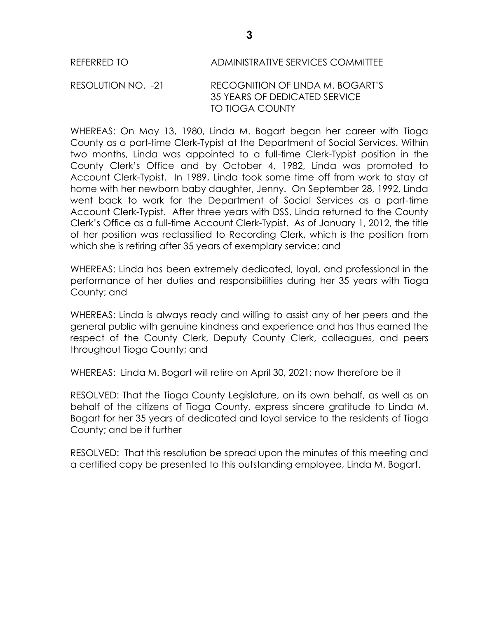## REFERRED TO ADMINISTRATIVE SERVICES COMMITTEE

#### RESOLUTION NO. -21 RECOGNITION OF LINDA M. BOGART'S 35 YEARS OF DEDICATED SERVICE TO TIOGA COUNTY

WHEREAS: On May 13, 1980, Linda M. Bogart began her career with Tioga County as a part-time Clerk-Typist at the Department of Social Services. Within two months, Linda was appointed to a full-time Clerk-Typist position in the County Clerk's Office and by October 4, 1982, Linda was promoted to Account Clerk-Typist. In 1989, Linda took some time off from work to stay at home with her newborn baby daughter, Jenny. On September 28, 1992, Linda went back to work for the Department of Social Services as a part-time Account Clerk-Typist. After three years with DSS, Linda returned to the County Clerk's Office as a full-time Account Clerk-Typist. As of January 1, 2012, the title of her position was reclassified to Recording Clerk, which is the position from which she is retiring after 35 years of exemplary service; and

WHEREAS: Linda has been extremely dedicated, loyal, and professional in the performance of her duties and responsibilities during her 35 years with Tioga County; and

WHEREAS: Linda is always ready and willing to assist any of her peers and the general public with genuine kindness and experience and has thus earned the respect of the County Clerk, Deputy County Clerk, colleagues, and peers throughout Tioga County; and

WHEREAS: Linda M. Bogart will retire on April 30, 2021; now therefore be it

RESOLVED: That the Tioga County Legislature, on its own behalf, as well as on behalf of the citizens of Tioga County, express sincere gratitude to Linda M. Bogart for her 35 years of dedicated and loyal service to the residents of Tioga County; and be it further

RESOLVED: That this resolution be spread upon the minutes of this meeting and a certified copy be presented to this outstanding employee, Linda M. Bogart.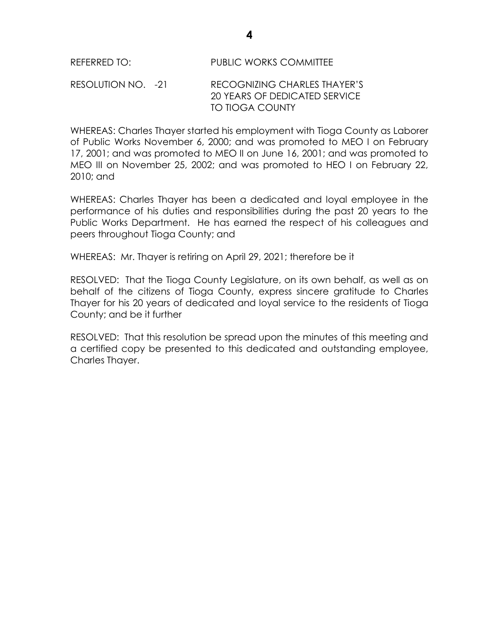| <b>PUBLIC WORKS COMMITTEE</b><br>REFERRED TO: |
|-----------------------------------------------|
|-----------------------------------------------|

RESOLUTION NO. -21 RECOGNIZING CHARLES THAYER'S 20 YEARS OF DEDICATED SERVICE TO TIOGA COUNTY

WHEREAS: Charles Thayer started his employment with Tioga County as Laborer of Public Works November 6, 2000; and was promoted to MEO I on February 17, 2001; and was promoted to MEO II on June 16, 2001; and was promoted to MEO III on November 25, 2002; and was promoted to HEO I on February 22, 2010; and

WHEREAS: Charles Thayer has been a dedicated and loyal employee in the performance of his duties and responsibilities during the past 20 years to the Public Works Department. He has earned the respect of his colleagues and peers throughout Tioga County; and

WHEREAS: Mr. Thayer is retiring on April 29, 2021; therefore be it

RESOLVED: That the Tioga County Legislature, on its own behalf, as well as on behalf of the citizens of Tioga County, express sincere gratitude to Charles Thayer for his 20 years of dedicated and loyal service to the residents of Tioga County; and be it further

RESOLVED: That this resolution be spread upon the minutes of this meeting and a certified copy be presented to this dedicated and outstanding employee, Charles Thayer.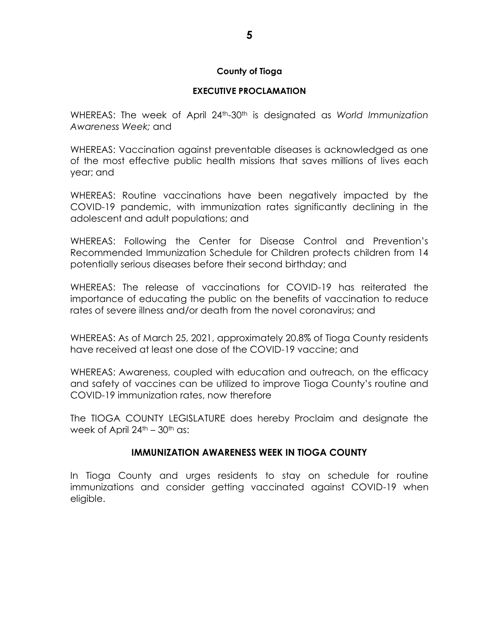#### **County of Tioga**

#### **EXECUTIVE PROCLAMATION**

WHEREAS: The week of April 24th-30th is designated as *World Immunization Awareness Week;* and

WHEREAS: Vaccination against preventable diseases is acknowledged as one of the most effective public health missions that saves millions of lives each year; and

WHEREAS: Routine vaccinations have been negatively impacted by the COVID-19 pandemic, with immunization rates significantly declining in the adolescent and adult populations; and

WHEREAS: Following the Center for Disease Control and Prevention's Recommended Immunization Schedule for Children protects children from 14 potentially serious diseases before their second birthday; and

WHEREAS: The release of vaccinations for COVID-19 has reiterated the importance of educating the public on the benefits of vaccination to reduce rates of severe illness and/or death from the novel coronavirus; and

WHEREAS: As of March 25, 2021, approximately 20.8% of Tioga County residents have received at least one dose of the COVID-19 vaccine; and

WHEREAS: Awareness, coupled with education and outreach, on the efficacy and safety of vaccines can be utilized to improve Tioga County's routine and COVID-19 immunization rates, now therefore

The TIOGA COUNTY LEGISLATURE does hereby Proclaim and designate the week of April  $24<sup>th</sup> - 30<sup>th</sup>$  as:

### **IMMUNIZATION AWARENESS WEEK IN TIOGA COUNTY**

In Tioga County and urges residents to stay on schedule for routine immunizations and consider getting vaccinated against COVID-19 when eligible.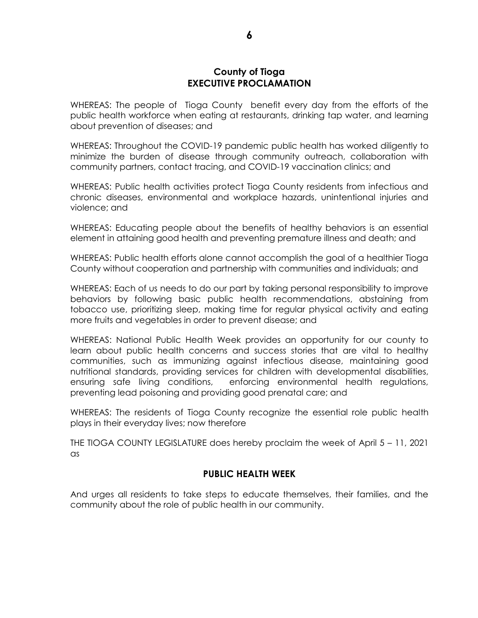#### **County of Tioga EXECUTIVE PROCLAMATION**

WHEREAS: The people of Tioga County benefit every day from the efforts of the public health workforce when eating at restaurants, drinking tap water, and learning about prevention of diseases; and

WHEREAS: Throughout the COVID-19 pandemic public health has worked diligently to minimize the burden of disease through community outreach, collaboration with community partners, contact tracing, and COVID-19 vaccination clinics; and

WHEREAS: Public health activities protect Tioga County residents from infectious and chronic diseases, environmental and workplace hazards, unintentional injuries and violence; and

WHEREAS: Educating people about the benefits of healthy behaviors is an essential element in attaining good health and preventing premature illness and death; and

WHEREAS: Public health efforts alone cannot accomplish the goal of a healthier Tioga County without cooperation and partnership with communities and individuals; and

WHEREAS: Each of us needs to do our part by taking personal responsibility to improve behaviors by following basic public health recommendations, abstaining from tobacco use, prioritizing sleep, making time for regular physical activity and eating more fruits and vegetables in order to prevent disease; and

WHEREAS: National Public Health Week provides an opportunity for our county to learn about public health concerns and success stories that are vital to healthy communities, such as immunizing against infectious disease, maintaining good nutritional standards, providing services for children with developmental disabilities, ensuring safe living conditions, enforcing environmental health regulations, preventing lead poisoning and providing good prenatal care; and

WHEREAS: The residents of Tioga County recognize the essential role public health plays in their everyday lives; now therefore

THE TIOGA COUNTY LEGISLATURE does hereby proclaim the week of April 5 – 11, 2021 as

### **PUBLIC HEALTH WEEK**

And urges all residents to take steps to educate themselves, their families, and the community about the role of public health in our community.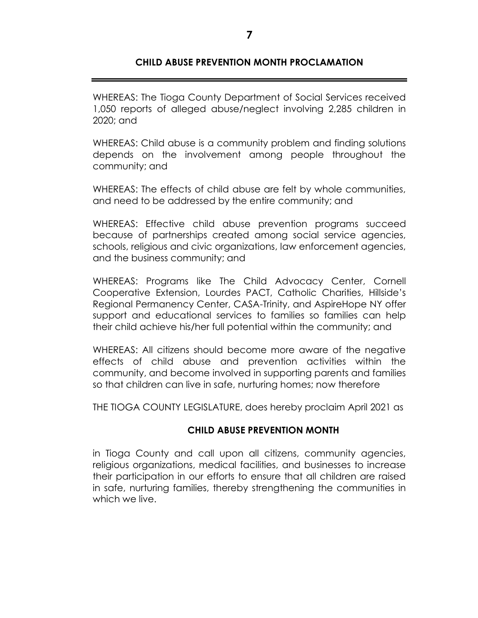## **CHILD ABUSE PREVENTION MONTH PROCLAMATION**

WHEREAS: The Tioga County Department of Social Services received 1,050 reports of alleged abuse/neglect involving 2,285 children in 2020; and

WHEREAS: Child abuse is a community problem and finding solutions depends on the involvement among people throughout the community; and

WHEREAS: The effects of child abuse are felt by whole communities, and need to be addressed by the entire community; and

WHEREAS: Effective child abuse prevention programs succeed because of partnerships created among social service agencies, schools, religious and civic organizations, law enforcement agencies, and the business community; and

WHEREAS: Programs like The Child Advocacy Center, Cornell Cooperative Extension, Lourdes PACT, Catholic Charities, Hillside's Regional Permanency Center, CASA-Trinity, and AspireHope NY offer support and educational services to families so families can help their child achieve his/her full potential within the community; and

WHEREAS: All citizens should become more aware of the negative effects of child abuse and prevention activities within the community, and become involved in supporting parents and families so that children can live in safe, nurturing homes; now therefore

THE TIOGA COUNTY LEGISLATURE, does hereby proclaim April 2021 as

### **CHILD ABUSE PREVENTION MONTH**

in Tioga County and call upon all citizens, community agencies, religious organizations, medical facilities, and businesses to increase their participation in our efforts to ensure that all children are raised in safe, nurturing families, thereby strengthening the communities in which we live.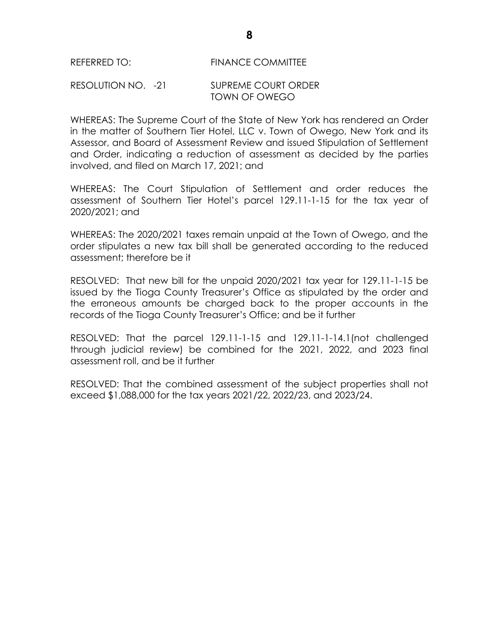#### REFERRED TO: FINANCE COMMITTEE

#### RESOLUTION NO. -21 SUPREME COURT ORDER TOWN OF OWEGO

WHEREAS: The Supreme Court of the State of New York has rendered an Order in the matter of Southern Tier Hotel, LLC v. Town of Owego, New York and its Assessor, and Board of Assessment Review and issued Stipulation of Settlement and Order, indicating a reduction of assessment as decided by the parties involved, and filed on March 17, 2021; and

WHEREAS: The Court Stipulation of Settlement and order reduces the assessment of Southern Tier Hotel's parcel 129.11-1-15 for the tax year of 2020/2021; and

WHEREAS: The 2020/2021 taxes remain unpaid at the Town of Owego, and the order stipulates a new tax bill shall be generated according to the reduced assessment; therefore be it

RESOLVED: That new bill for the unpaid 2020/2021 tax year for 129.11-1-15 be issued by the Tioga County Treasurer's Office as stipulated by the order and the erroneous amounts be charged back to the proper accounts in the records of the Tioga County Treasurer's Office; and be it further

RESOLVED: That the parcel 129.11-1-15 and 129.11-1-14.1(not challenged through judicial review) be combined for the 2021, 2022, and 2023 final assessment roll, and be it further

RESOLVED: That the combined assessment of the subject properties shall not exceed \$1,088,000 for the tax years 2021/22, 2022/23, and 2023/24.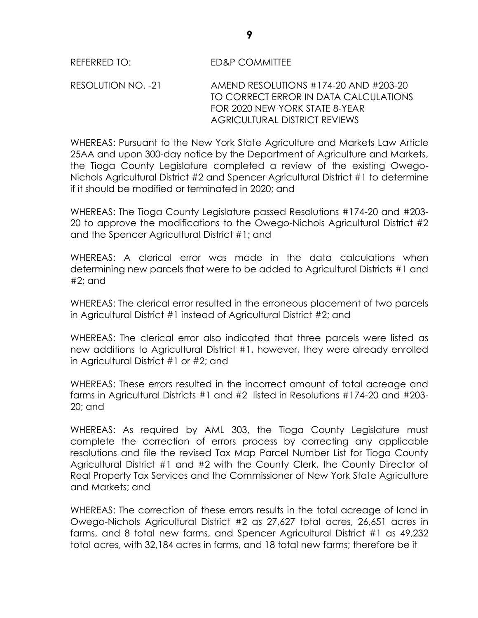RESOLUTION NO. -21 AMEND RESOLUTIONS #174-20 AND #203-20 TO CORRECT ERROR IN DATA CALCULATIONS FOR 2020 NEW YORK STATE 8-YEAR AGRICULTURAL DISTRICT REVIEWS

WHEREAS: Pursuant to the New York State Agriculture and Markets Law Article 25AA and upon 300-day notice by the Department of Agriculture and Markets, the Tioga County Legislature completed a review of the existing Owego-Nichols Agricultural District #2 and Spencer Agricultural District #1 to determine if it should be modified or terminated in 2020; and

WHEREAS: The Tioga County Legislature passed Resolutions #174-20 and #203- 20 to approve the modifications to the Owego-Nichols Agricultural District #2 and the Spencer Agricultural District #1; and

WHEREAS: A clerical error was made in the data calculations when determining new parcels that were to be added to Agricultural Districts #1 and #2; and

WHEREAS: The clerical error resulted in the erroneous placement of two parcels in Agricultural District #1 instead of Agricultural District #2; and

WHEREAS: The clerical error also indicated that three parcels were listed as new additions to Agricultural District #1, however, they were already enrolled in Agricultural District #1 or #2; and

WHEREAS: These errors resulted in the incorrect amount of total acreage and farms in Agricultural Districts #1 and #2 listed in Resolutions #174-20 and #203- 20; and

WHEREAS: As required by AML 303, the Tioga County Legislature must complete the correction of errors process by correcting any applicable resolutions and file the revised Tax Map Parcel Number List for Tioga County Agricultural District #1 and #2 with the County Clerk, the County Director of Real Property Tax Services and the Commissioner of New York State Agriculture and Markets; and

WHEREAS: The correction of these errors results in the total acreage of land in Owego-Nichols Agricultural District #2 as 27,627 total acres, 26,651 acres in farms, and 8 total new farms, and Spencer Agricultural District #1 as 49,232 total acres, with 32,184 acres in farms, and 18 total new farms; therefore be it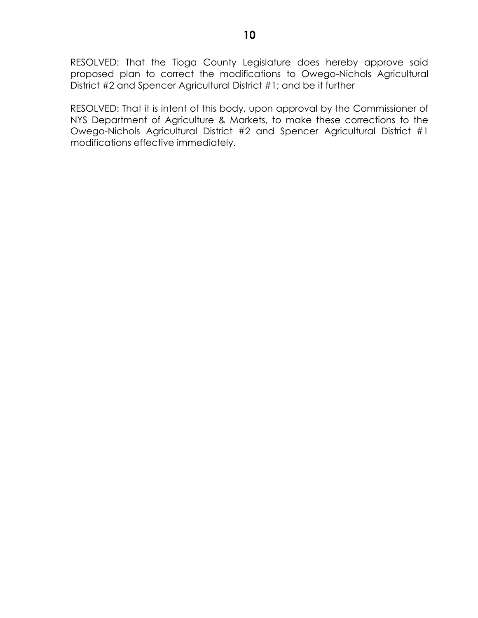RESOLVED: That the Tioga County Legislature does hereby approve said proposed plan to correct the modifications to Owego-Nichols Agricultural District #2 and Spencer Agricultural District #1; and be it further

RESOLVED: That it is intent of this body, upon approval by the Commissioner of NYS Department of Agriculture & Markets, to make these corrections to the Owego-Nichols Agricultural District #2 and Spencer Agricultural District #1 modifications effective immediately.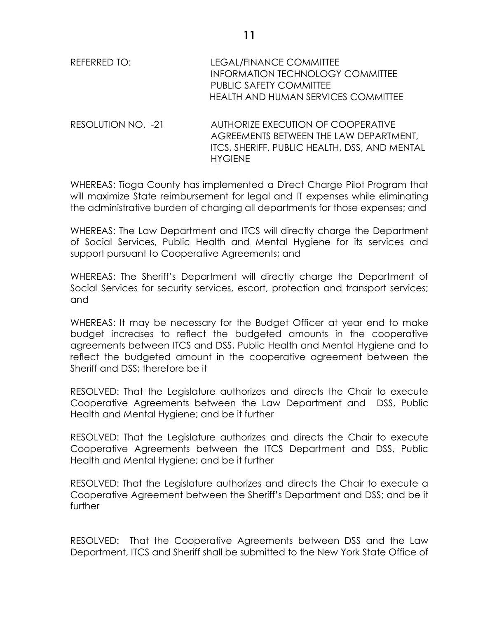| REFERRED TO:       | LEGAL/FINANCE COMMITTEE<br><b>INFORMATION TECHNOLOGY COMMITTEE</b><br><b>PUBLIC SAFETY COMMITTEE</b><br><b>HEALTH AND HUMAN SERVICES COMMITTEE</b> |  |
|--------------------|----------------------------------------------------------------------------------------------------------------------------------------------------|--|
| RESOLUTION NO. -21 | AUTHORIZE EXECUTION OF COOPERATIVE<br>AGREEMENTS BETWEEN THE LAW DEPARTMENT,                                                                       |  |

HYGIENE

WHEREAS: Tioga County has implemented a Direct Charge Pilot Program that will maximize State reimbursement for legal and IT expenses while eliminating the administrative burden of charging all departments for those expenses; and

ITCS, SHERIFF, PUBLIC HEALTH, DSS, AND MENTAL

WHEREAS: The Law Department and ITCS will directly charge the Department of Social Services, Public Health and Mental Hygiene for its services and support pursuant to Cooperative Agreements; and

WHEREAS: The Sheriff's Department will directly charge the Department of Social Services for security services, escort, protection and transport services; and

WHEREAS: It may be necessary for the Budget Officer at year end to make budget increases to reflect the budgeted amounts in the cooperative agreements between ITCS and DSS, Public Health and Mental Hygiene and to reflect the budgeted amount in the cooperative agreement between the Sheriff and DSS; therefore be it

RESOLVED: That the Legislature authorizes and directs the Chair to execute Cooperative Agreements between the Law Department and DSS, Public Health and Mental Hygiene; and be it further

RESOLVED: That the Legislature authorizes and directs the Chair to execute Cooperative Agreements between the ITCS Department and DSS, Public Health and Mental Hygiene; and be it further

RESOLVED: That the Legislature authorizes and directs the Chair to execute a Cooperative Agreement between the Sheriff's Department and DSS; and be it further

RESOLVED: That the Cooperative Agreements between DSS and the Law Department, ITCS and Sheriff shall be submitted to the New York State Office of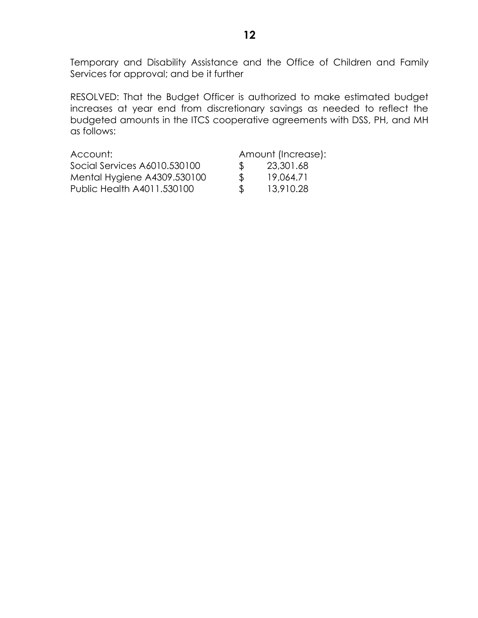Temporary and Disability Assistance and the Office of Children and Family Services for approval; and be it further

RESOLVED: That the Budget Officer is authorized to make estimated budget increases at year end from discretionary savings as needed to reflect the budgeted amounts in the ITCS cooperative agreements with DSS, PH, and MH as follows:

| Account:                     |               | Amount (Increase): |
|------------------------------|---------------|--------------------|
| Social Services A6010.530100 | -SS-          | 23,301.68          |
| Mental Hygiene A4309.530100  | $\mathcal{L}$ | 19.064.71          |
| Public Health A4011.530100   | -SS           | 13,910.28          |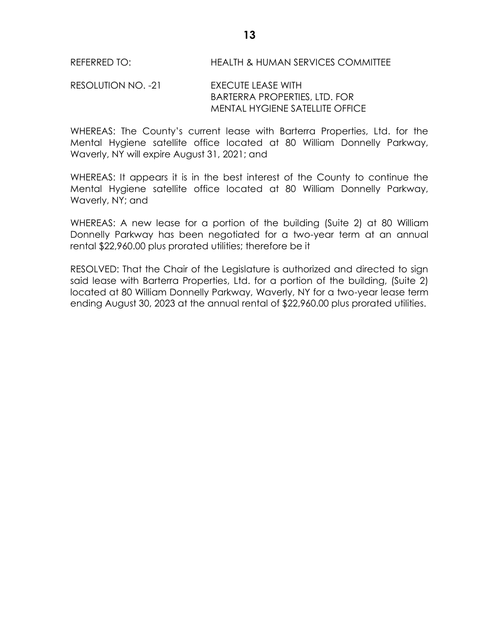### RESOLUTION NO. -21 EXECUTE LEASE WITH BARTERRA PROPERTIES, LTD. FOR MENTAL HYGIENE SATELLITE OFFICE

WHEREAS: The County's current lease with Barterra Properties, Ltd. for the Mental Hygiene satellite office located at 80 William Donnelly Parkway, Waverly, NY will expire August 31, 2021; and

WHEREAS: It appears it is in the best interest of the County to continue the Mental Hygiene satellite office located at 80 William Donnelly Parkway, Waverly, NY; and

WHEREAS: A new lease for a portion of the building (Suite 2) at 80 William Donnelly Parkway has been negotiated for a two-year term at an annual rental \$22,960.00 plus prorated utilities; therefore be it

RESOLVED: That the Chair of the Legislature is authorized and directed to sign said lease with Barterra Properties, Ltd. for a portion of the building, (Suite 2) located at 80 William Donnelly Parkway, Waverly, NY for a two-year lease term ending August 30, 2023 at the annual rental of \$22,960.00 plus prorated utilities.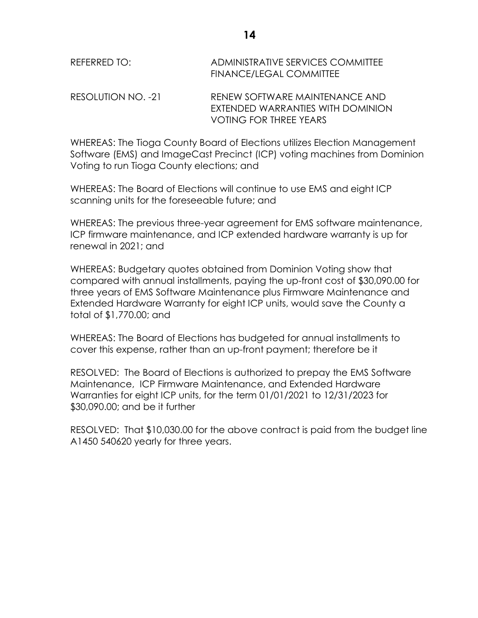| REFERRED TO:       | ADMINISTRATIVE SERVICES COMMITTEE<br>FINANCE/LEGAL COMMITTEE        |
|--------------------|---------------------------------------------------------------------|
| RESOLUTION NO. -21 | RENEW SOFTWARE MAINTENANCE AND<br>EXTENDED WARRANTIES WITH DOMINION |

WHEREAS: The Tioga County Board of Elections utilizes Election Management Software (EMS) and ImageCast Precinct (ICP) voting machines from Dominion Voting to run Tioga County elections; and

VOTING FOR THREE YEARS

WHEREAS: The Board of Elections will continue to use EMS and eight ICP scanning units for the foreseeable future; and

WHEREAS: The previous three-year agreement for EMS software maintenance, ICP firmware maintenance, and ICP extended hardware warranty is up for renewal in 2021; and

WHEREAS: Budgetary quotes obtained from Dominion Voting show that compared with annual installments, paying the up-front cost of \$30,090.00 for three years of EMS Software Maintenance plus Firmware Maintenance and Extended Hardware Warranty for eight ICP units, would save the County a total of \$1,770.00; and

WHEREAS: The Board of Elections has budgeted for annual installments to cover this expense, rather than an up-front payment; therefore be it

RESOLVED: The Board of Elections is authorized to prepay the EMS Software Maintenance, ICP Firmware Maintenance, and Extended Hardware Warranties for eight ICP units, for the term 01/01/2021 to 12/31/2023 for \$30,090.00; and be it further

RESOLVED: That \$10,030.00 for the above contract is paid from the budget line A1450 540620 yearly for three years.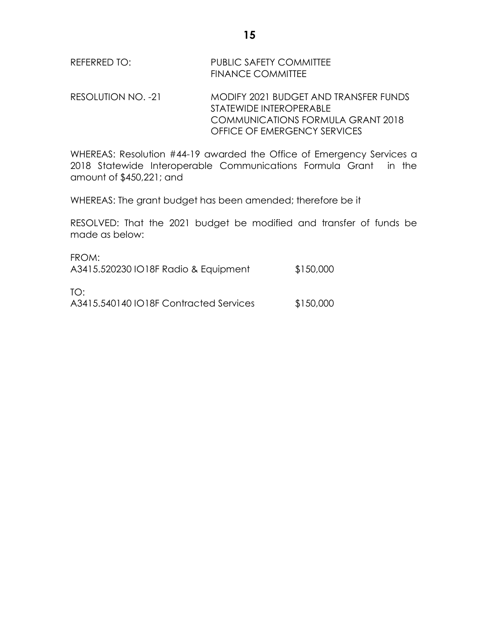| REFERRED TO: | PUBLIC SAFETY COMMITTEE  |
|--------------|--------------------------|
|              | <b>FINANCE COMMITTEE</b> |

RESOLUTION NO. -21 MODIFY 2021 BUDGET AND TRANSFER FUNDS STATEWIDE INTEROPERABLE COMMUNICATIONS FORMULA GRANT 2018 OFFICE OF EMERGENCY SERVICES

WHEREAS: Resolution #44-19 awarded the Office of Emergency Services a 2018 Statewide Interoperable Communications Formula Grant in the amount of \$450,221; and

WHEREAS: The grant budget has been amended; therefore be it

RESOLVED: That the 2021 budget be modified and transfer of funds be made as below:

| FROM:<br>A3415.520230 IO18F Radio & Equipment | \$150,000 |
|-----------------------------------------------|-----------|
| TO:<br>A3415.540140 IO18F Contracted Services | \$150,000 |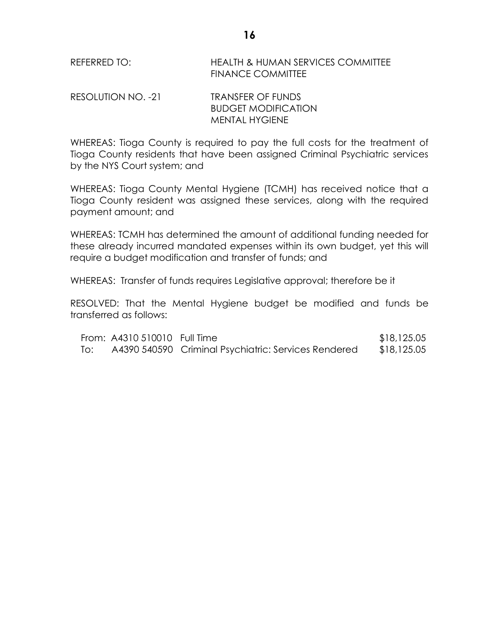REFERRED TO: HEALTH & HUMAN SERVICES COMMITTEE FINANCE COMMITTEE

RESOLUTION NO. -21 TRANSFER OF FUNDS BUDGET MODIFICATION MENTAL HYGIENE

WHEREAS: Tioga County is required to pay the full costs for the treatment of Tioga County residents that have been assigned Criminal Psychiatric services by the NYS Court system; and

WHEREAS: Tioga County Mental Hygiene (TCMH) has received notice that a Tioga County resident was assigned these services, along with the required payment amount; and

WHEREAS: TCMH has determined the amount of additional funding needed for these already incurred mandated expenses within its own budget, yet this will require a budget modification and transfer of funds; and

WHEREAS: Transfer of funds requires Legislative approval; therefore be it

RESOLVED: That the Mental Hygiene budget be modified and funds be transferred as follows:

|     | From: A4310 510010 Full Time |                                                      | \$18,125.05 |
|-----|------------------------------|------------------------------------------------------|-------------|
| To: |                              | A4390 540590 Criminal Psychiatric: Services Rendered | \$18,125.05 |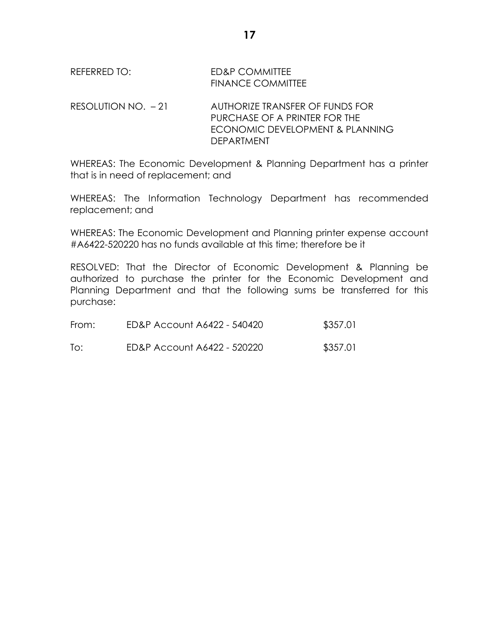REFERRED TO: ED&P COMMITTEE FINANCE COMMITTEE

RESOLUTION NO. – 21 AUTHORIZE TRANSFER OF FUNDS FOR PURCHASE OF A PRINTER FOR THE ECONOMIC DEVELOPMENT & PLANNING DEPARTMENT

WHEREAS: The Economic Development & Planning Department has a printer that is in need of replacement; and

WHEREAS: The Information Technology Department has recommended replacement; and

WHEREAS: The Economic Development and Planning printer expense account #A6422-520220 has no funds available at this time; therefore be it

RESOLVED: That the Director of Economic Development & Planning be authorized to purchase the printer for the Economic Development and Planning Department and that the following sums be transferred for this purchase:

| From: | ED&P Account A6422 - 540420 | \$357.01 |
|-------|-----------------------------|----------|
| To:   | ED&P Account A6422 - 520220 | \$357.01 |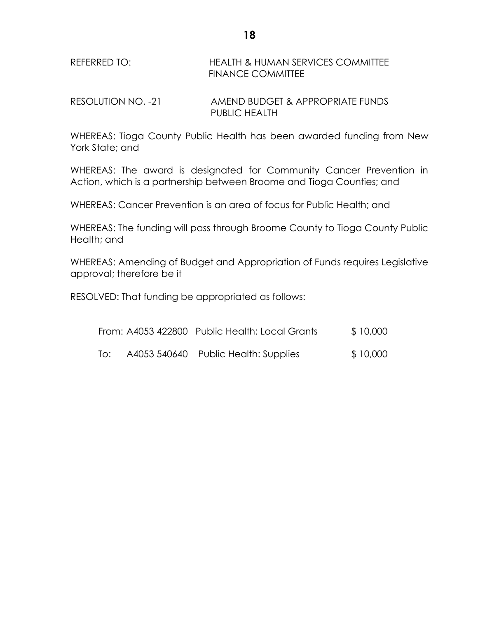### REFERRED TO: HEALTH & HUMAN SERVICES COMMITTEE FINANCE COMMITTEE

RESOLUTION NO. -21 AMEND BUDGET & APPROPRIATE FUNDS PUBLIC HEALTH

WHEREAS: Tioga County Public Health has been awarded funding from New York State; and

WHEREAS: The award is designated for Community Cancer Prevention in Action, which is a partnership between Broome and Tioga Counties; and

WHEREAS: Cancer Prevention is an area of focus for Public Health; and

WHEREAS: The funding will pass through Broome County to Tioga County Public Health; and

WHEREAS: Amending of Budget and Appropriation of Funds requires Legislative approval; therefore be it

RESOLVED: That funding be appropriated as follows:

|     | From: A4053 422800 Public Health: Local Grants | \$10,000 |
|-----|------------------------------------------------|----------|
| To: | A4053 540640 Public Health: Supplies           | \$10,000 |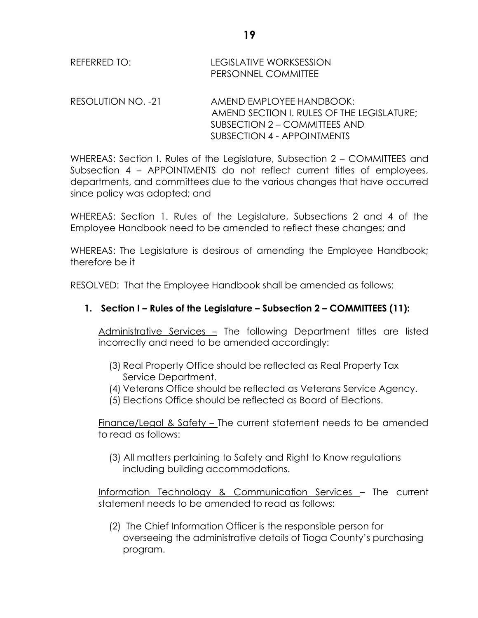| REFERRED TO: | <b>LEGISLATIVE WORKSESSION</b> |
|--------------|--------------------------------|
|              | <b>PERSONNEL COMMITTEE</b>     |

RESOLUTION NO. -21 AMEND EMPLOYEE HANDBOOK: AMEND SECTION I. RULES OF THE LEGISLATURE: SUBSECTION 2 – COMMITTEES AND SUBSECTION 4 - APPOINTMENTS

WHEREAS: Section I. Rules of the Legislature, Subsection 2 – COMMITTEES and Subsection 4 – APPOINTMENTS do not reflect current titles of employees, departments, and committees due to the various changes that have occurred since policy was adopted; and

WHEREAS: Section 1. Rules of the Legislature, Subsections 2 and 4 of the Employee Handbook need to be amended to reflect these changes; and

WHEREAS: The Legislature is desirous of amending the Employee Handbook; therefore be it

RESOLVED: That the Employee Handbook shall be amended as follows:

## **1. Section I – Rules of the Legislature – Subsection 2 – COMMITTEES (11):**

Administrative Services – The following Department titles are listed incorrectly and need to be amended accordingly:

- (3) Real Property Office should be reflected as Real Property Tax Service Department.
- (4) Veterans Office should be reflected as Veterans Service Agency.
- (5) Elections Office should be reflected as Board of Elections.

Finance/Legal & Safety – The current statement needs to be amended to read as follows:

(3) All matters pertaining to Safety and Right to Know regulations including building accommodations.

Information Technology & Communication Services - The current statement needs to be amended to read as follows:

(2) The Chief Information Officer is the responsible person for overseeing the administrative details of Tioga County's purchasing program.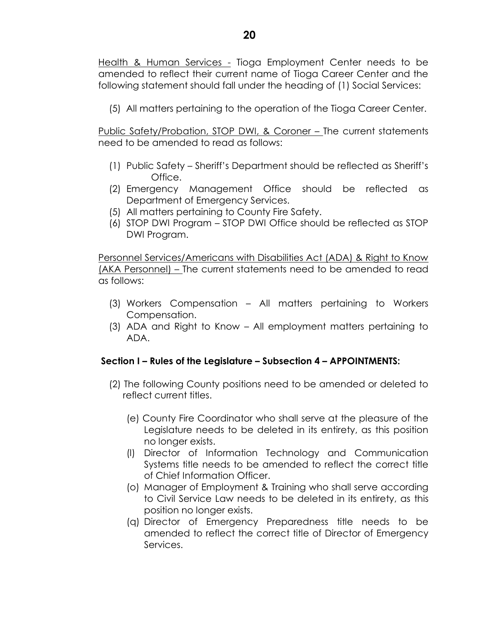Health & Human Services - Tioga Employment Center needs to be amended to reflect their current name of Tioga Career Center and the following statement should fall under the heading of (1) Social Services:

(5) All matters pertaining to the operation of the Tioga Career Center.

Public Safety/Probation, STOP DWI, & Coroner – The current statements need to be amended to read as follows:

- (1) Public Safety Sheriff's Department should be reflected as Sheriff's Office.
- (2) Emergency Management Office should be reflected as Department of Emergency Services.
- (5) All matters pertaining to County Fire Safety.
- (6) STOP DWI Program STOP DWI Office should be reflected as STOP DWI Program.

Personnel Services/Americans with Disabilities Act (ADA) & Right to Know (AKA Personnel) – The current statements need to be amended to read as follows:

- (3) Workers Compensation All matters pertaining to Workers Compensation.
- (3) ADA and Right to Know All employment matters pertaining to ADA.

## **Section I – Rules of the Legislature – Subsection 4 – APPOINTMENTS:**

- (2) The following County positions need to be amended or deleted to reflect current titles.
	- (e) County Fire Coordinator who shall serve at the pleasure of the Legislature needs to be deleted in its entirety, as this position no longer exists.
	- (l) Director of Information Technology and Communication Systems title needs to be amended to reflect the correct title of Chief Information Officer.
	- (o) Manager of Employment & Training who shall serve according to Civil Service Law needs to be deleted in its entirety, as this position no longer exists.
	- (q) Director of Emergency Preparedness title needs to be amended to reflect the correct title of Director of Emergency Services.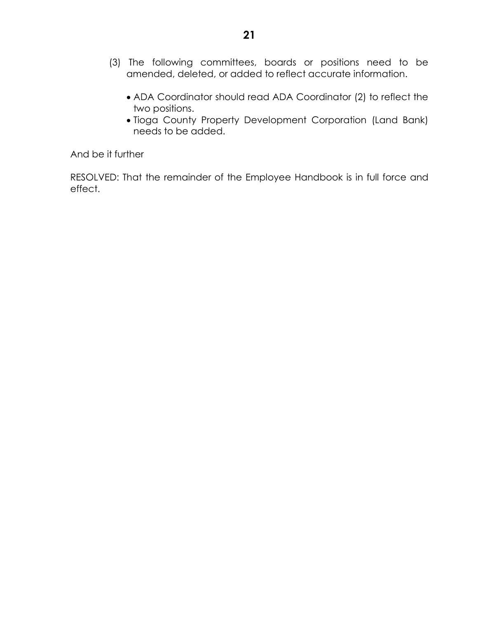- (3) The following committees, boards or positions need to be amended, deleted, or added to reflect accurate information.
	- ADA Coordinator should read ADA Coordinator (2) to reflect the two positions.
	- Tioga County Property Development Corporation (Land Bank) needs to be added.

And be it further

RESOLVED: That the remainder of the Employee Handbook is in full force and effect.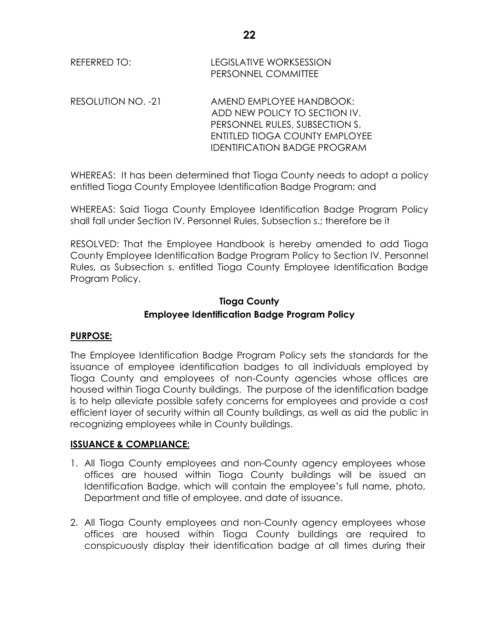| REFERRED TO: | <b>LEGISLATIVE WORKSESSION</b> |
|--------------|--------------------------------|
|              | <b>PERSONNEL COMMITTEE</b>     |

RESOLUTION NO. -21 AMEND EMPLOYEE HANDBOOK: ADD NEW POLICY TO SECTION IV. PERSONNEL RULES, SUBSECTION S. ENTITLED TIOGA COUNTY EMPLOYEE IDENTIFICATION BADGE PROGRAM

WHEREAS: It has been determined that Tioga County needs to adopt a policy entitled Tioga County Employee Identification Badge Program; and

WHEREAS: Said Tioga County Employee Identification Badge Program Policy shall fall under Section IV. Personnel Rules, Subsection s.; therefore be it

RESOLVED: That the Employee Handbook is hereby amended to add Tioga County Employee Identification Badge Program Policy to Section IV. Personnel Rules, as Subsection s. entitled Tioga County Employee Identification Badge Program Policy.

## **Tioga County Employee Identification Badge Program Policy**

# **PURPOSE:**

The Employee Identification Badge Program Policy sets the standards for the issuance of employee identification badges to all individuals employed by Tioga County and employees of non-County agencies whose offices are housed within Tioga County buildings. The purpose of the identification badge is to help alleviate possible safety concerns for employees and provide a cost efficient layer of security within all County buildings, as well as aid the public in recognizing employees while in County buildings.

## **ISSUANCE & COMPLIANCE:**

- 1. All Tioga County employees and non-County agency employees whose offices are housed within Tioga County buildings will be issued an Identification Badge, which will contain the employee's full name, photo, Department and title of employee, and date of issuance.
- 2. All Tioga County employees and non-County agency employees whose offices are housed within Tioga County buildings are required to conspicuously display their identification badge at all times during their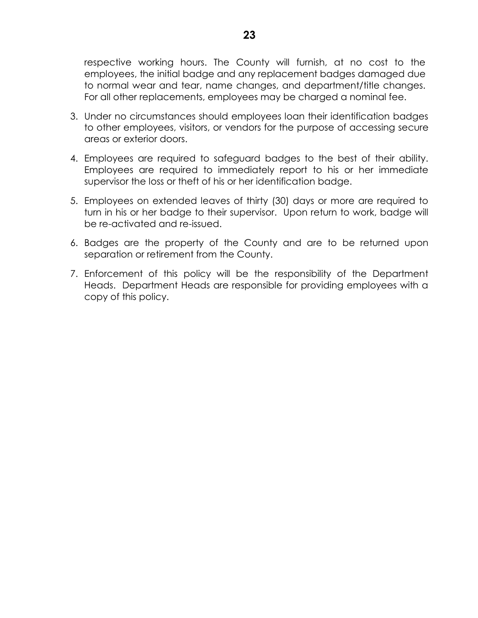respective working hours. The County will furnish, at no cost to the employees, the initial badge and any replacement badges damaged due to normal wear and tear, name changes, and department/title changes. For all other replacements, employees may be charged a nominal fee.

- 3. Under no circumstances should employees loan their identification badges to other employees, visitors, or vendors for the purpose of accessing secure areas or exterior doors.
- 4. Employees are required to safeguard badges to the best of their ability. Employees are required to immediately report to his or her immediate supervisor the loss or theft of his or her identification badge.
- 5. Employees on extended leaves of thirty (30) days or more are required to turn in his or her badge to their supervisor. Upon return to work, badge will be re-activated and re-issued.
- 6. Badges are the property of the County and are to be returned upon separation or retirement from the County.
- 7. Enforcement of this policy will be the responsibility of the Department Heads. Department Heads are responsible for providing employees with a copy of this policy.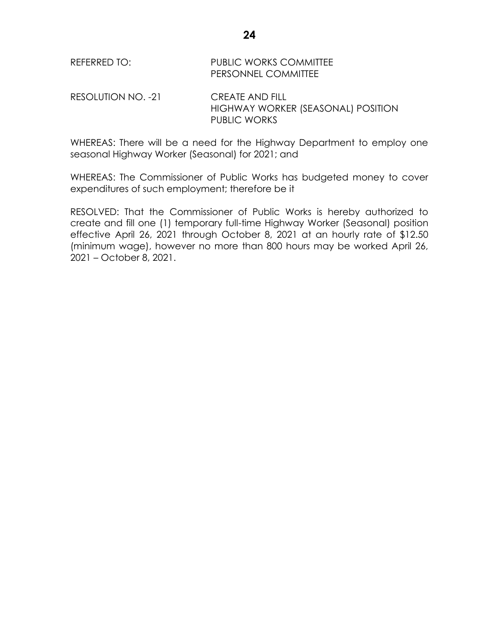| REFERRED TO: | <b>PUBLIC WORKS COMMITTEE</b> |
|--------------|-------------------------------|
|              | PERSONNEL COMMITTEE           |

RESOLUTION NO. -21 CREATE AND FILL HIGHWAY WORKER (SEASONAL) POSITION PUBLIC WORKS

WHEREAS: There will be a need for the Highway Department to employ one seasonal Highway Worker (Seasonal) for 2021; and

WHEREAS: The Commissioner of Public Works has budgeted money to cover expenditures of such employment; therefore be it

RESOLVED: That the Commissioner of Public Works is hereby authorized to create and fill one (1) temporary full-time Highway Worker (Seasonal) position effective April 26, 2021 through October 8, 2021 at an hourly rate of \$12.50 (minimum wage), however no more than 800 hours may be worked April 26, 2021 – October 8, 2021.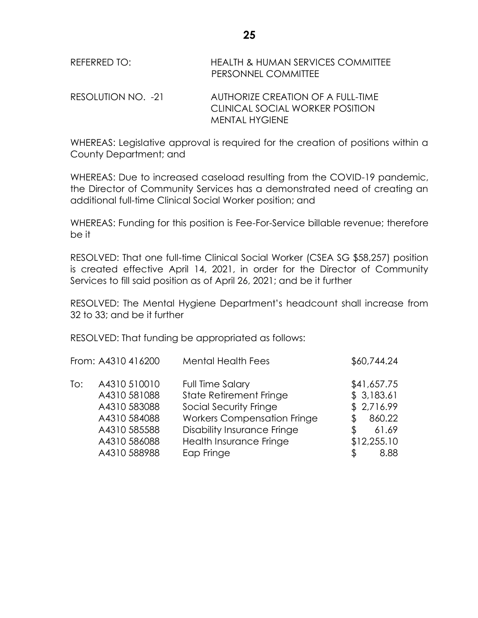| REFERRED TO:       | <b>HEALTH &amp; HUMAN SERVICES COMMITTEE</b><br>PERSONNEL COMMITTEE  |
|--------------------|----------------------------------------------------------------------|
| RESOLUTION NO. -21 | AUTHORIZE CREATION OF A FULL-TIME<br>CLINICAL SOCIAL WORKER POSITION |
|                    | <b>MENTAL HYGIENE</b>                                                |

WHEREAS: Legislative approval is required for the creation of positions within a County Department; and

WHEREAS: Due to increased caseload resulting from the COVID-19 pandemic, the Director of Community Services has a demonstrated need of creating an additional full-time Clinical Social Worker position; and

WHEREAS: Funding for this position is Fee-For-Service billable revenue; therefore be it

RESOLVED: That one full-time Clinical Social Worker (CSEA SG \$58,257) position is created effective April 14, 2021, in order for the Director of Community Services to fill said position as of April 26, 2021; and be it further

RESOLVED: The Mental Hygiene Department's headcount shall increase from 32 to 33; and be it further

RESOLVED: That funding be appropriated as follows:

|     | From: A4310 416200                                                                           | <b>Mental Health Fees</b>                                                                                                                                                    | \$60,744.24                                                                           |
|-----|----------------------------------------------------------------------------------------------|------------------------------------------------------------------------------------------------------------------------------------------------------------------------------|---------------------------------------------------------------------------------------|
| To: | A4310 510010<br>A4310 581088<br>A4310 583088<br>A4310 584088<br>A4310 585588<br>A4310 586088 | Full Time Salary<br><b>State Retirement Fringe</b><br>Social Security Fringe<br><b>Workers Compensation Fringe</b><br>Disability Insurance Fringe<br>Health Insurance Fringe | \$41,657.75<br>\$3,183.61<br>\$2,716.99<br>860.22<br>Æ.<br>61.69<br>\$<br>\$12,255.10 |
|     | A4310 588988                                                                                 | Eap Fringe                                                                                                                                                                   | 8.88                                                                                  |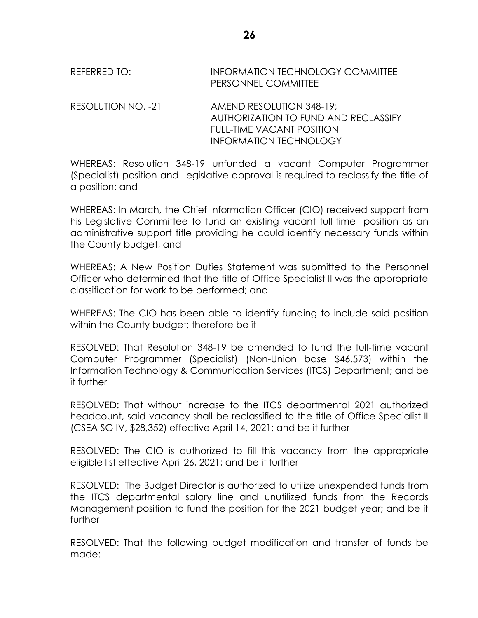REFERRED TO: INFORMATION TECHNOLOGY COMMITTEE PERSONNEL COMMITTEE

RESOLUTION NO. -21 AMEND RESOLUTION 348-19; AUTHORIZATION TO FUND AND RECLASSIFY FULL-TIME VACANT POSITION INFORMATION TECHNOLOGY

WHEREAS: Resolution 348-19 unfunded a vacant Computer Programmer (Specialist) position and Legislative approval is required to reclassify the title of a position; and

WHEREAS: In March, the Chief Information Officer (CIO) received support from his Legislative Committee to fund an existing vacant full-time position as an administrative support title providing he could identify necessary funds within the County budget; and

WHEREAS: A New Position Duties Statement was submitted to the Personnel Officer who determined that the title of Office Specialist II was the appropriate classification for work to be performed; and

WHEREAS: The CIO has been able to identify funding to include said position within the County budget; therefore be it

RESOLVED: That Resolution 348-19 be amended to fund the full-time vacant Computer Programmer (Specialist) (Non-Union base \$46,573) within the Information Technology & Communication Services (ITCS) Department; and be it further

RESOLVED: That without increase to the ITCS departmental 2021 authorized headcount, said vacancy shall be reclassified to the title of Office Specialist II (CSEA SG IV, \$28,352) effective April 14, 2021; and be it further

RESOLVED: The CIO is authorized to fill this vacancy from the appropriate eligible list effective April 26, 2021; and be it further

RESOLVED: The Budget Director is authorized to utilize unexpended funds from the ITCS departmental salary line and unutilized funds from the Records Management position to fund the position for the 2021 budget year; and be it further

RESOLVED: That the following budget modification and transfer of funds be made: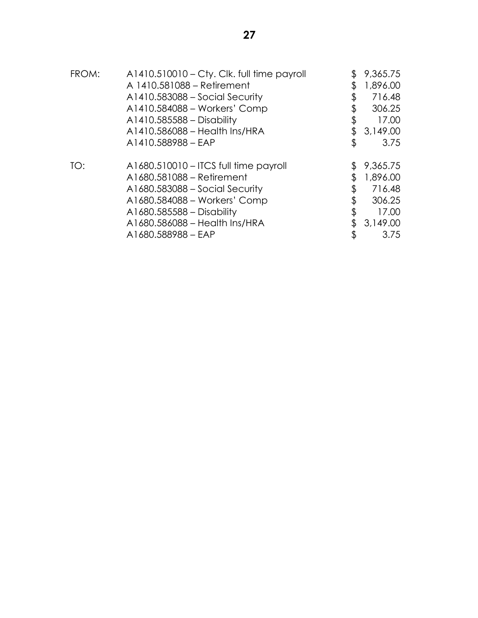| FROM: | $A1410.510010 - C$ ty. Clk. full time payroll | 9,365.75     |
|-------|-----------------------------------------------|--------------|
|       | A 1410.581088 – Retirement                    | 1,896.00     |
|       | A1410.583088 - Social Security                | \$<br>716.48 |
|       | A1410.584088 - Workers' Comp                  | 306.25       |
|       | A1410.585588 - Disability                     | \$<br>17.00  |
|       | A1410.586088 - Health Ins/HRA                 | 3,149.00     |
|       | A1410.588988 - EAP                            | \$<br>3.75   |
| TO:   | A1680.510010 – ITCS full time payroll         | 9,365.75     |
|       | A1680.581088 - Retirement                     | 1,896.00     |
|       | A1680.583088 – Social Security                | 716.48       |
|       | A1680.584088 - Workers' Comp                  | 306.25       |
|       | A1680.585588 - Disability                     | 17.00        |
|       | A1680.586088 - Health Ins/HRA                 | 3,149.00     |
|       | A1680.588988 - EAP                            | \$<br>3.75   |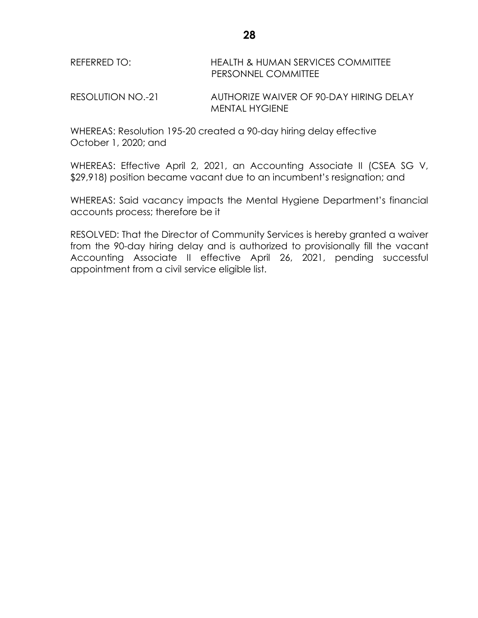| REFERRED TO: | <b>HEALTH &amp; HUMAN SERVICES COMMITTEE</b> |
|--------------|----------------------------------------------|
|              | <b>PERSONNEL COMMITTEE</b>                   |

RESOLUTION NO.-21 AUTHORIZE WAIVER OF 90-DAY HIRING DELAY MENTAL HYGIENE

WHEREAS: Resolution 195-20 created a 90-day hiring delay effective October 1, 2020; and

WHEREAS: Effective April 2, 2021, an Accounting Associate II (CSEA SG V, \$29,918) position became vacant due to an incumbent's resignation; and

WHEREAS: Said vacancy impacts the Mental Hygiene Department's financial accounts process; therefore be it

RESOLVED: That the Director of Community Services is hereby granted a waiver from the 90-day hiring delay and is authorized to provisionally fill the vacant Accounting Associate II effective April 26, 2021, pending successful appointment from a civil service eligible list.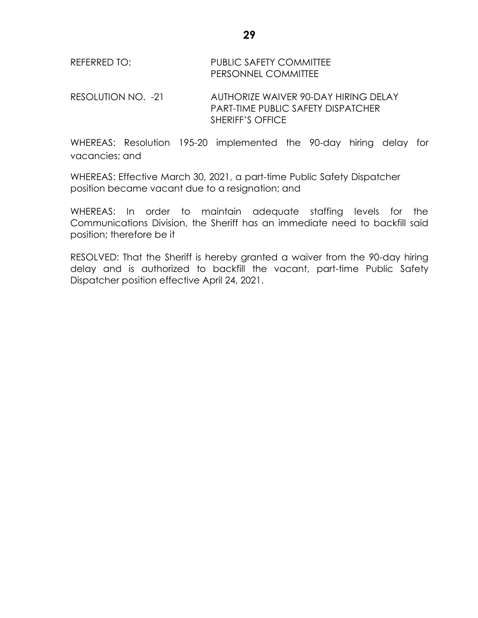| REFERRED TO: | <b>PUBLIC SAFETY COMMITTEE</b> |
|--------------|--------------------------------|
|              | <b>PERSONNEL COMMITTEE</b>     |

RESOLUTION NO. -21 AUTHORIZE WAIVER 90-DAY HIRING DELAY PART-TIME PUBLIC SAFETY DISPATCHER SHERIFF'S OFFICE

WHEREAS: Resolution 195-20 implemented the 90-day hiring delay for vacancies; and

WHEREAS: Effective March 30, 2021, a part-time Public Safety Dispatcher position became vacant due to a resignation; and

WHEREAS: In order to maintain adequate staffing levels for the Communications Division, the Sheriff has an immediate need to backfill said position; therefore be it

RESOLVED: That the Sheriff is hereby granted a waiver from the 90-day hiring delay and is authorized to backfill the vacant, part-time Public Safety Dispatcher position effective April 24, 2021.